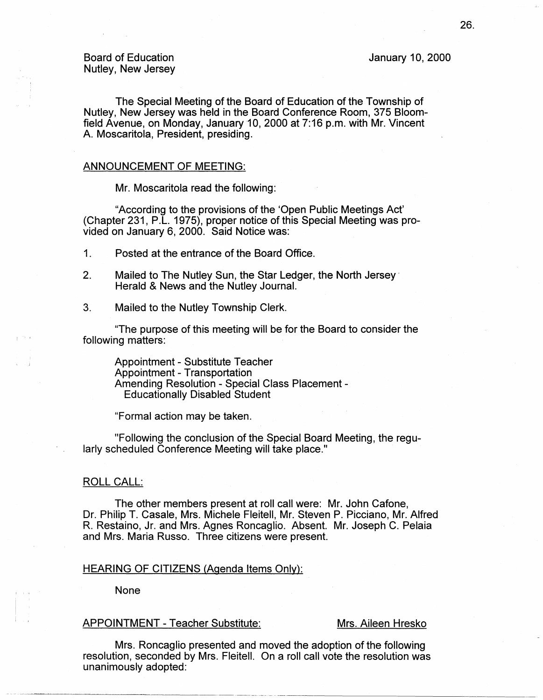## Board of Education Nutley, New Jersey

January 10, 2000

The Special Meeting of the Board of Education of the Township of Nutley, New Jersey was held in the Board Conference Room, 375 Bloomfield Avenue, on Monday, January 10, 2000 at 7:16 p.m. with Mr. Vincent A. Moscaritola, President, presiding.

## ANNOUNCEMENT OF MEETING:

Mr. Moscaritola read the following:

"According to the provisions of the 'Open Public Meetings Act' (Chapter 231, P.L. 1975), proper notice of this Special Meeting was provided on January 6, 2000. Said Notice was:

1. Posted at the entrance of the Board Office.

- 2. Mailed to The Nutley Sun, the Star Ledger, the North Jersey· Herald & News and the Nutley Journal.
- 3. Mailed to the Nutley Township Clerk.

"The purpose of this meeting will be for the Board to consider the following matters:

Appointment - Substitute Teacher Appointment - Transportation Amending Resolution - Special Class Placement - Educationally Disabled Student

"Formal action may be taken.

"Following the conclusion of the Special Board Meeting, the regularly scheduled Conference Meeting will take place."

### ROLL CALL:

The other members present at roll call were: Mr. John Catone, Dr. Philip T. Casale, Mrs. Michele Fleitell, Mr. Steven P. Picciano, Mr. Alfred R. Restaino, Jr. and Mrs. Agnes Roncaglio. Absent. Mr. Joseph C. Pelaia and Mrs. Maria Russo. Three citizens were present.

## HEARING OF CITIZENS (Agenda Items Only):

None

### APPOINTMENT - Teacher Substitute: Mrs. Aileen Hresko

Mrs. Roncaglio presented and moved the adoption of the following resolution, seconded by Mrs. Fleitell. On a roll call vote the resolution was unanimously adopted:

·---------·-··--------------------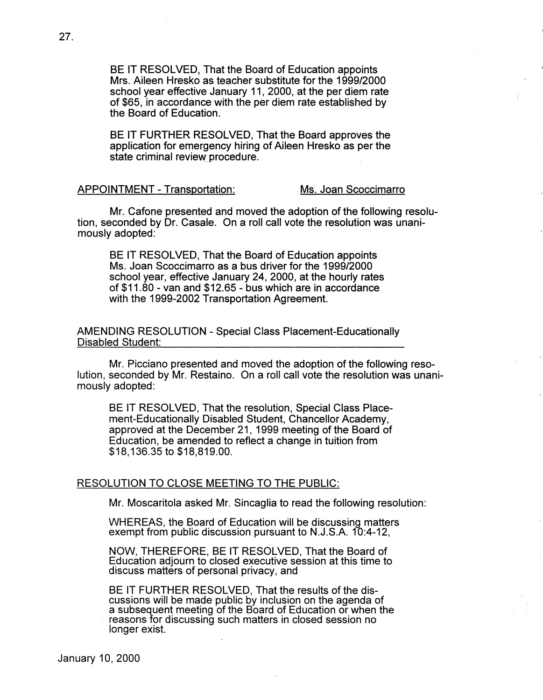BE IT RESOLVED, That the Board of Education appoints Mrs. Aileen Hresko as teacher substitute for the 1999/2000 school year effective January 11, 2000, at the per diem rate of \$65, in accordance with the per diem rate established by the Board of Education.

BE IT FURTHER RESOLVED, That the Board approves the application for emergency hiring of Aileen Hresko as per the state criminal review procedure.

# APPOINTMENT - Transportation: Ms. Joan Scoccimarro

Mr. Catone presented and moved the adoption of the following resolution, seconded by Dr. Casale. On a roll call vote the resolution was unanimously adopted:

BE IT RESOLVED, That the Board of Education appoints Ms. Joan Scoccimarro as a bus driver for the 1999/2000 school year, effective January 24, 2000, at the hourly rates of \$11.80 - van and \$12.65 - bus which are in accordance with the 1999-2002 Transportation Agreement.

AMENDING RESOLUTION - Special Class Placement-Educationally Disabled Student:

Mr. Picciano presented and moved the adoption of the following resolution, seconded by Mr. Restaino. On a roll call vote the resolution was unanimously adopted:

BE IT RESOLVED, That the resolution, Special Class Placement-Educationally Disabled Student, Chancellor Academy, approved at the December 21, 1999 meeting of the Board of Education, be amended to reflect a change in tuition from \$18,136.35 to \$18,819.00.

## RESOLUTION TO CLOSE MEETING TO THE PUBLIC:

Mr. Moscaritola asked Mr. Sincaglia to read the following resolution:

WHEREAS, the Board of Education will be discussing matters exempt from public discussion pursuant to N.J.S.A. 10:4-12,

NOW, THEREFORE, BE IT RESOLVED, That the Board of Education adjourn to closed executive session at this time to discuss matters of personal privacy, and

BE IT FURTHER RESOLVED, That the results of the **dis**cussions will be made public by inclusion on the agenda of a subsequent meeting of the Board of Education or when the reasons for discussing such matters in closed session no longer exist.